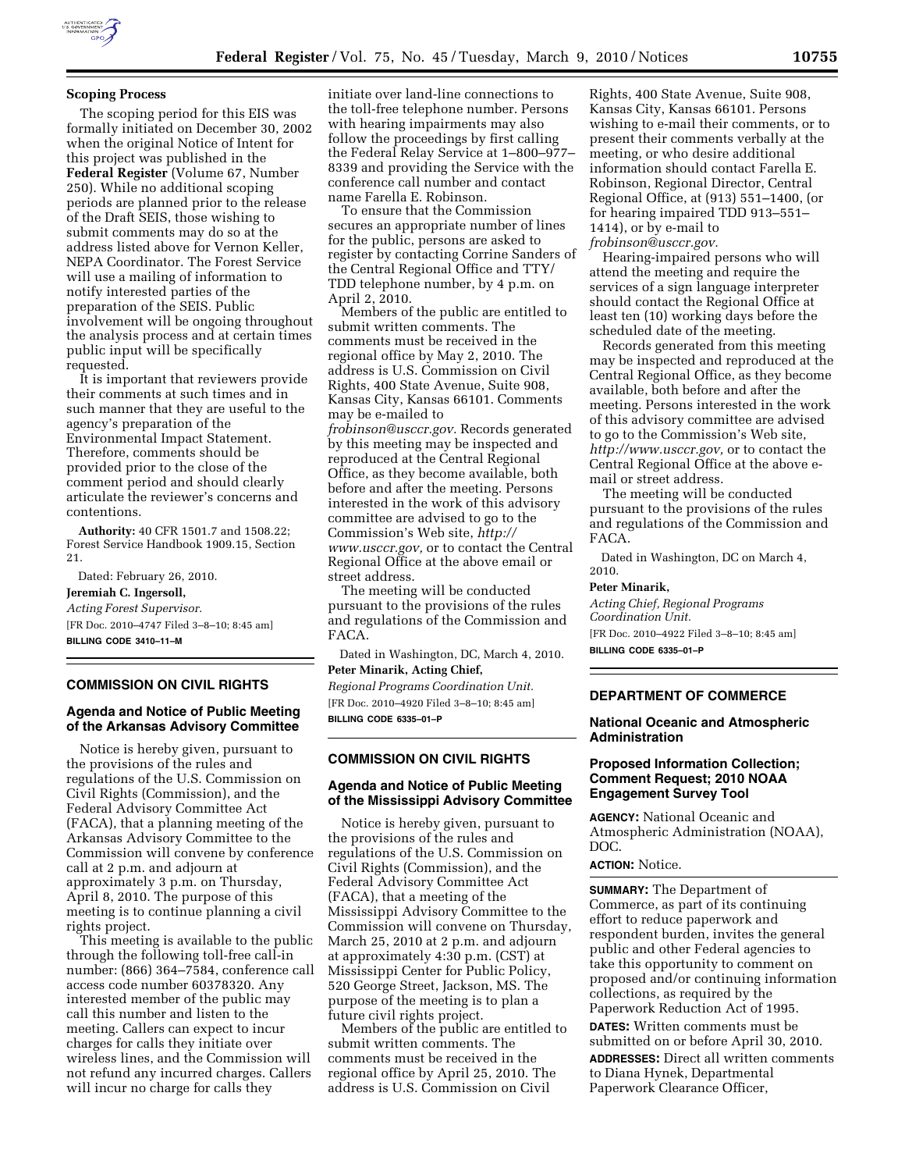

#### **Scoping Process**

The scoping period for this EIS was formally initiated on December 30, 2002 when the original Notice of Intent for this project was published in the **Federal Register** (Volume 67, Number 250). While no additional scoping periods are planned prior to the release of the Draft SEIS, those wishing to submit comments may do so at the address listed above for Vernon Keller, NEPA Coordinator. The Forest Service will use a mailing of information to notify interested parties of the preparation of the SEIS. Public involvement will be ongoing throughout the analysis process and at certain times public input will be specifically requested.

It is important that reviewers provide their comments at such times and in such manner that they are useful to the agency's preparation of the Environmental Impact Statement. Therefore, comments should be provided prior to the close of the comment period and should clearly articulate the reviewer's concerns and contentions.

**Authority:** 40 CFR 1501.7 and 1508.22; Forest Service Handbook 1909.15, Section 21.

Dated: February 26, 2010. **Jeremiah C. Ingersoll,**  *Acting Forest Supervisor.*  [FR Doc. 2010–4747 Filed 3–8–10; 8:45 am] **BILLING CODE 3410–11–M** 

### **COMMISSION ON CIVIL RIGHTS**

### **Agenda and Notice of Public Meeting of the Arkansas Advisory Committee**

Notice is hereby given, pursuant to the provisions of the rules and regulations of the U.S. Commission on Civil Rights (Commission), and the Federal Advisory Committee Act (FACA), that a planning meeting of the Arkansas Advisory Committee to the Commission will convene by conference call at 2 p.m. and adjourn at approximately 3 p.m. on Thursday, April 8, 2010. The purpose of this meeting is to continue planning a civil rights project.

This meeting is available to the public through the following toll-free call-in number: (866) 364–7584, conference call access code number 60378320. Any interested member of the public may call this number and listen to the meeting. Callers can expect to incur charges for calls they initiate over wireless lines, and the Commission will not refund any incurred charges. Callers will incur no charge for calls they

initiate over land-line connections to the toll-free telephone number. Persons with hearing impairments may also follow the proceedings by first calling the Federal Relay Service at 1–800–977– 8339 and providing the Service with the conference call number and contact name Farella E. Robinson.

To ensure that the Commission secures an appropriate number of lines for the public, persons are asked to register by contacting Corrine Sanders of the Central Regional Office and TTY/ TDD telephone number, by 4 p.m. on April 2, 2010.

Members of the public are entitled to submit written comments. The comments must be received in the regional office by May 2, 2010. The address is U.S. Commission on Civil Rights, 400 State Avenue, Suite 908, Kansas City, Kansas 66101. Comments may be e-mailed to *frobinson@usccr.gov.* Records generated by this meeting may be inspected and reproduced at the Central Regional Office, as they become available, both before and after the meeting. Persons interested in the work of this advisory committee are advised to go to the Commission's Web site, *http:// www.usccr.gov,* or to contact the Central Regional Office at the above email or street address.

The meeting will be conducted pursuant to the provisions of the rules and regulations of the Commission and FACA.

Dated in Washington, DC, March 4, 2010. **Peter Minarik, Acting Chief,** 

*Regional Programs Coordination Unit.*  [FR Doc. 2010–4920 Filed 3–8–10; 8:45 am] **BILLING CODE 6335–01–P** 

### **COMMISSION ON CIVIL RIGHTS**

#### **Agenda and Notice of Public Meeting of the Mississippi Advisory Committee**

Notice is hereby given, pursuant to the provisions of the rules and regulations of the U.S. Commission on Civil Rights (Commission), and the Federal Advisory Committee Act (FACA), that a meeting of the Mississippi Advisory Committee to the Commission will convene on Thursday, March 25, 2010 at 2 p.m. and adjourn at approximately 4:30 p.m. (CST) at Mississippi Center for Public Policy, 520 George Street, Jackson, MS. The purpose of the meeting is to plan a future civil rights project.

Members of the public are entitled to submit written comments. The comments must be received in the regional office by April 25, 2010. The address is U.S. Commission on Civil

Rights, 400 State Avenue, Suite 908, Kansas City, Kansas 66101. Persons wishing to e-mail their comments, or to present their comments verbally at the meeting, or who desire additional information should contact Farella E. Robinson, Regional Director, Central Regional Office, at (913) 551–1400, (or for hearing impaired TDD 913–551– 1414), or by e-mail to *frobinson@usccr.gov.* 

Hearing-impaired persons who will attend the meeting and require the services of a sign language interpreter should contact the Regional Office at least ten (10) working days before the scheduled date of the meeting.

Records generated from this meeting may be inspected and reproduced at the Central Regional Office, as they become available, both before and after the meeting. Persons interested in the work of this advisory committee are advised to go to the Commission's Web site, *http://www.usccr.gov,* or to contact the Central Regional Office at the above email or street address.

The meeting will be conducted pursuant to the provisions of the rules and regulations of the Commission and FACA.

Dated in Washington, DC on March 4, 2010.

#### **Peter Minarik,**

*Acting Chief, Regional Programs Coordination Unit.*  [FR Doc. 2010–4922 Filed 3–8–10; 8:45 am]

**BILLING CODE 6335–01–P** 

## **DEPARTMENT OF COMMERCE**

### **National Oceanic and Atmospheric Administration**

## **Proposed Information Collection; Comment Request; 2010 NOAA Engagement Survey Tool**

**AGENCY:** National Oceanic and Atmospheric Administration (NOAA), DOC.

#### **ACTION:** Notice.

**SUMMARY:** The Department of Commerce, as part of its continuing effort to reduce paperwork and respondent burden, invites the general public and other Federal agencies to take this opportunity to comment on proposed and/or continuing information collections, as required by the Paperwork Reduction Act of 1995.

**DATES:** Written comments must be submitted on or before April 30, 2010. **ADDRESSES:** Direct all written comments to Diana Hynek, Departmental Paperwork Clearance Officer,